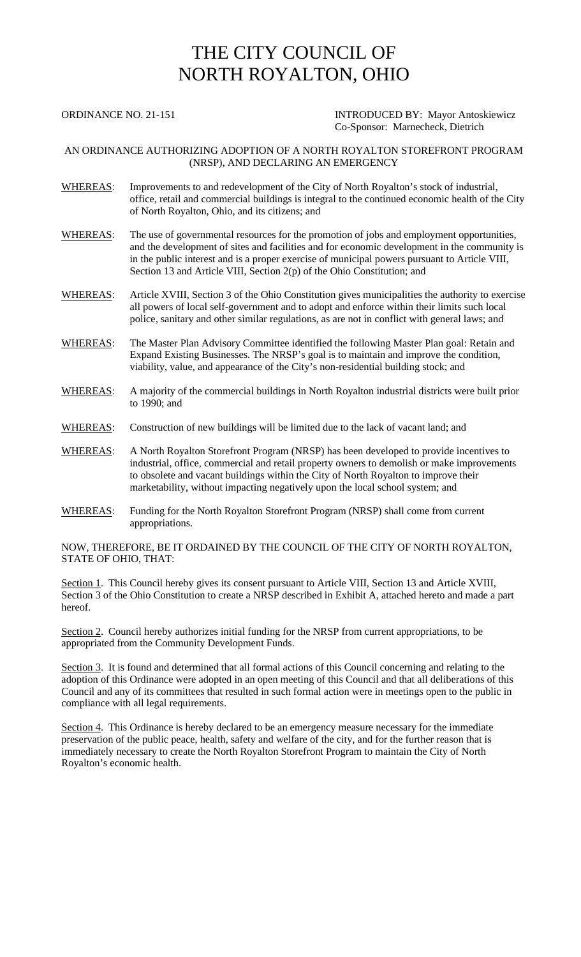## THE CITY COUNCIL OF NORTH ROYALTON, OHIO

ORDINANCE NO. 21-151 INTRODUCED BY: Mayor Antoskiewicz Co-Sponsor: Marnecheck, Dietrich

## AN ORDINANCE AUTHORIZING ADOPTION OF A NORTH ROYALTON STOREFRONT PROGRAM (NRSP), AND DECLARING AN EMERGENCY

- WHEREAS: Improvements to and redevelopment of the City of North Royalton's stock of industrial, office, retail and commercial buildings is integral to the continued economic health of the City of North Royalton, Ohio, and its citizens; and
- WHEREAS: The use of governmental resources for the promotion of jobs and employment opportunities, and the development of sites and facilities and for economic development in the community is in the public interest and is a proper exercise of municipal powers pursuant to Article VIII, Section 13 and Article VIII, Section 2(p) of the Ohio Constitution; and
- WHEREAS: Article XVIII, Section 3 of the Ohio Constitution gives municipalities the authority to exercise all powers of local self-government and to adopt and enforce within their limits such local police, sanitary and other similar regulations, as are not in conflict with general laws; and
- WHEREAS: The Master Plan Advisory Committee identified the following Master Plan goal: Retain and Expand Existing Businesses. The NRSP's goal is to maintain and improve the condition, viability, value, and appearance of the City's non-residential building stock; and
- WHEREAS: A majority of the commercial buildings in North Royalton industrial districts were built prior to 1990; and
- WHEREAS: Construction of new buildings will be limited due to the lack of vacant land; and
- WHEREAS: A North Royalton Storefront Program (NRSP) has been developed to provide incentives to industrial, office, commercial and retail property owners to demolish or make improvements to obsolete and vacant buildings within the City of North Royalton to improve their marketability, without impacting negatively upon the local school system; and
- WHEREAS: Funding for the North Royalton Storefront Program (NRSP) shall come from current appropriations.

NOW, THEREFORE, BE IT ORDAINED BY THE COUNCIL OF THE CITY OF NORTH ROYALTON, STATE OF OHIO, THAT:

Section 1. This Council hereby gives its consent pursuant to Article VIII, Section 13 and Article XVIII, Section 3 of the Ohio Constitution to create a NRSP described in Exhibit A, attached hereto and made a part hereof.

Section 2. Council hereby authorizes initial funding for the NRSP from current appropriations, to be appropriated from the Community Development Funds.

Section 3. It is found and determined that all formal actions of this Council concerning and relating to the adoption of this Ordinance were adopted in an open meeting of this Council and that all deliberations of this Council and any of its committees that resulted in such formal action were in meetings open to the public in compliance with all legal requirements.

Section 4. This Ordinance is hereby declared to be an emergency measure necessary for the immediate preservation of the public peace, health, safety and welfare of the city, and for the further reason that is immediately necessary to create the North Royalton Storefront Program to maintain the City of North Royalton's economic health.